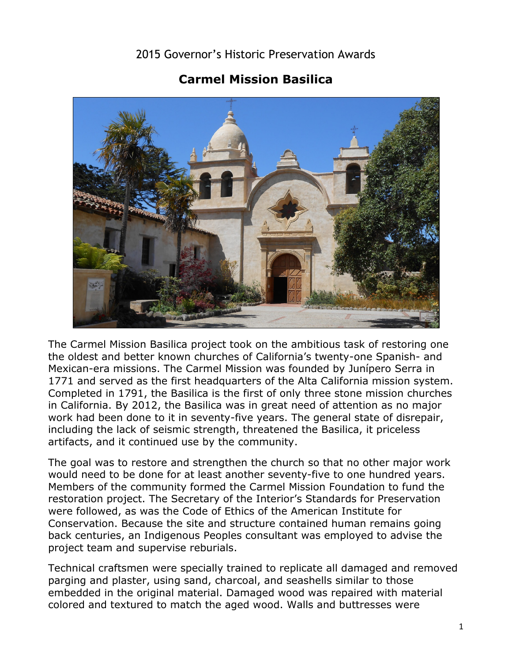## 2015 Governor's Historic Preservation Awards

## **Carmel Mission Basilica**



 The Carmel Mission Basilica project took on the ambitious task of restoring one Completed in 1791, the Basilica is the first of only three stone mission churches in California. By 2012, the Basilica was in great need of attention as no major the oldest and better known churches of California's twenty-one Spanish- and Mexican-era missions. The Carmel Mission was founded by Junípero Serra in 1771 and served as the first headquarters of the Alta California mission system. work had been done to it in seventy-five years. The general state of disrepair, including the lack of seismic strength, threatened the Basilica, it priceless artifacts, and it continued use by the community.

 Conservation. Because the site and structure contained human remains going The goal was to restore and strengthen the church so that no other major work would need to be done for at least another seventy-five to one hundred years. Members of the community formed the Carmel Mission Foundation to fund the restoration project. The Secretary of the Interior's Standards for Preservation were followed, as was the Code of Ethics of the American Institute for back centuries, an Indigenous Peoples consultant was employed to advise the project team and supervise reburials.

 parging and plaster, using sand, charcoal, and seashells similar to those Technical craftsmen were specially trained to replicate all damaged and removed embedded in the original material. Damaged wood was repaired with material colored and textured to match the aged wood. Walls and buttresses were